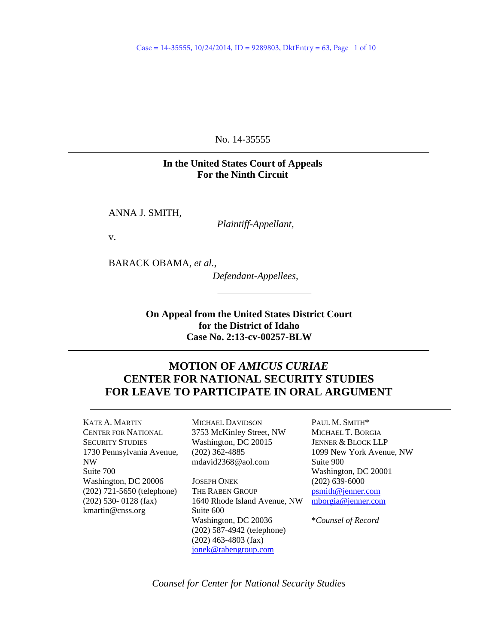No. 14-35555

## **In the United States Court of Appeals For the Ninth Circuit**

ANNA J. SMITH,

*Plaintiff-Appellant,*

v.

BARACK OBAMA, *et al.*,

*Defendant-Appellees,*

**On Appeal from the United States District Court for the District of Idaho Case No. 2:13-cv-00257-BLW**

## **MOTION OF** *AMICUS CURIAE* **CENTER FOR NATIONAL SECURITY STUDIES FOR LEAVE TO PARTICIPATE IN ORAL ARGUMENT**

KATE A. MARTIN CENTER FOR NATIONAL SECURITY STUDIES 1730 Pennsylvania Avenue, NW Suite 700 Washington, DC 20006 (202) 721-5650 (telephone) (202) 530- 0128 (fax) [kmartin@cnss.org](mailto:kmartin@cnss.org)

MICHAEL DAVIDSON 3753 McKinley Street, NW Washington, DC 20015 (202) 362-4885 mdavid2368@aol.com

JOSEPH ONEK THE RABEN GROUP 1640 Rhode Island Avenue, NW Suite 600 Washington, DC 20036 (202) 587-4942 (telephone) (202) 463-4803 (fax) [jonek@rabengroup.com](mailto:jonek@rabengroup.com)

PAUL M. SMITH\* MICHAEL T. BORGIA JENNER & BLOCK LLP 1099 New York Avenue, NW Suite 900 Washington, DC 20001 (202) 639-6000 [psmith@jenner.com](mailto:psmith@jenner.com) [mborgia@jenner.com](mailto:mborgia@jenner.com)

\**Counsel of Record*

*Counsel for Center for National Security Studies*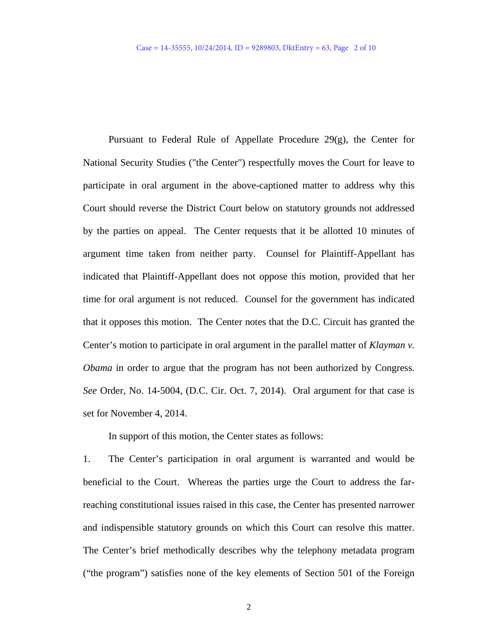Pursuant to Federal Rule of Appellate Procedure 29(g), the Center for National Security Studies ("the Center") respectfully moves the Court for leave to participate in oral argument in the above-captioned matter to address why this Court should reverse the District Court below on statutory grounds not addressed by the parties on appeal. The Center requests that it be allotted 10 minutes of argument time taken from neither party. Counsel for Plaintiff-Appellant has indicated that Plaintiff-Appellant does not oppose this motion, provided that her time for oral argument is not reduced. Counsel for the government has indicated that it opposes this motion. The Center notes that the D.C. Circuit has granted the Center's motion to participate in oral argument in the parallel matter of *Klayman v. Obama* in order to argue that the program has not been authorized by Congress. *See* Order, No. 14-5004, (D.C. Cir. Oct. 7, 2014). Oral argument for that case is set for November 4, 2014.

In support of this motion, the Center states as follows:

1. The Center's participation in oral argument is warranted and would be beneficial to the Court. Whereas the parties urge the Court to address the farreaching constitutional issues raised in this case, the Center has presented narrower and indispensible statutory grounds on which this Court can resolve this matter. The Center's brief methodically describes why the telephony metadata program ("the program") satisfies none of the key elements of Section 501 of the Foreign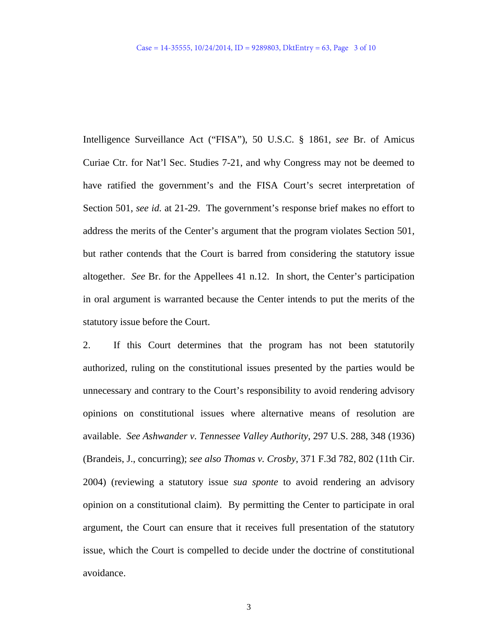Intelligence Surveillance Act ("FISA"), 50 U.S.C. § 1861, *see* Br. of Amicus Curiae Ctr. for Nat'l Sec. Studies 7-21, and why Congress may not be deemed to have ratified the government's and the FISA Court's secret interpretation of Section 501, *see id.* at 21-29. The government's response brief makes no effort to address the merits of the Center's argument that the program violates Section 501, but rather contends that the Court is barred from considering the statutory issue altogether. *See* Br. for the Appellees 41 n.12. In short, the Center's participation in oral argument is warranted because the Center intends to put the merits of the statutory issue before the Court.

2. If this Court determines that the program has not been statutorily authorized, ruling on the constitutional issues presented by the parties would be unnecessary and contrary to the Court's responsibility to avoid rendering advisory opinions on constitutional issues where alternative means of resolution are available. *See Ashwander v. Tennessee Valley Authority*, 297 U.S. 288, 348 (1936) (Brandeis, J., concurring); *see also Thomas v. Crosby*, 371 F.3d 782, 802 (11th Cir. 2004) (reviewing a statutory issue *sua sponte* to avoid rendering an advisory opinion on a constitutional claim). By permitting the Center to participate in oral argument, the Court can ensure that it receives full presentation of the statutory issue, which the Court is compelled to decide under the doctrine of constitutional avoidance.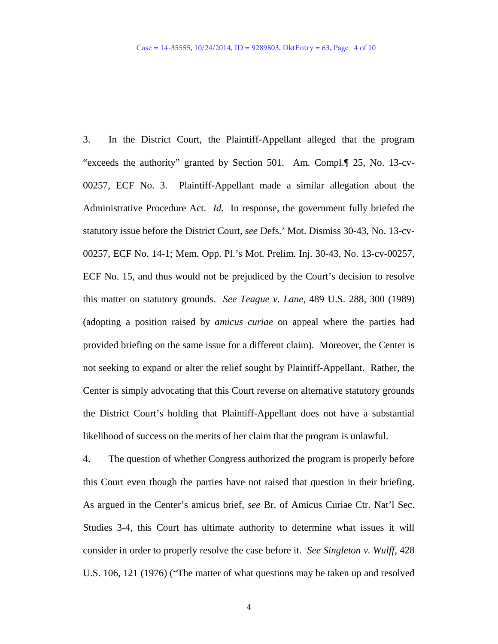3. In the District Court, the Plaintiff-Appellant alleged that the program "exceeds the authority" granted by Section 501. Am. Compl.¶ 25, No. 13-cv-00257, ECF No. 3. Plaintiff-Appellant made a similar allegation about the Administrative Procedure Act. *Id.* In response, the government fully briefed the statutory issue before the District Court, *see* Defs.' Mot. Dismiss 30-43, No. 13-cv-00257, ECF No. 14-1; Mem. Opp. Pl.'s Mot. Prelim. Inj. 30-43, No. 13-cv-00257, ECF No. 15, and thus would not be prejudiced by the Court's decision to resolve this matter on statutory grounds. *See Teague v. Lane*, 489 U.S. 288, 300 (1989) (adopting a position raised by *amicus curiae* on appeal where the parties had provided briefing on the same issue for a different claim). Moreover, the Center is not seeking to expand or alter the relief sought by Plaintiff-Appellant. Rather, the Center is simply advocating that this Court reverse on alternative statutory grounds the District Court's holding that Plaintiff-Appellant does not have a substantial likelihood of success on the merits of her claim that the program is unlawful.

4. The question of whether Congress authorized the program is properly before this Court even though the parties have not raised that question in their briefing. As argued in the Center's amicus brief, *see* Br. of Amicus Curiae Ctr. Nat'l Sec. Studies 3-4, this Court has ultimate authority to determine what issues it will consider in order to properly resolve the case before it. *See Singleton v. Wulff*, 428 U.S. 106, 121 (1976) ("The matter of what questions may be taken up and resolved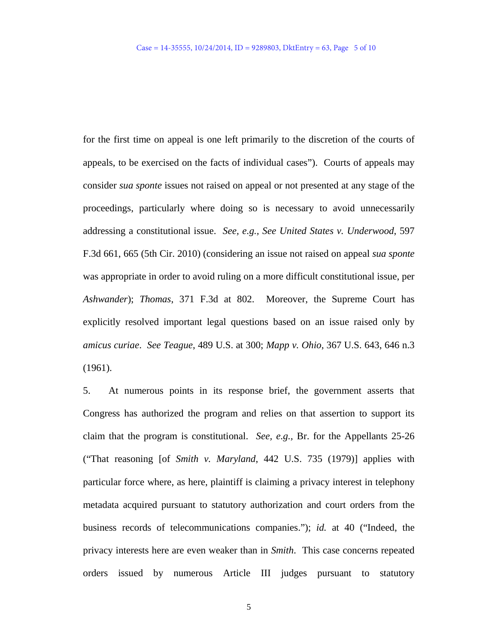for the first time on appeal is one left primarily to the discretion of the courts of appeals, to be exercised on the facts of individual cases"). Courts of appeals may consider *sua sponte* issues not raised on appeal or not presented at any stage of the proceedings, particularly where doing so is necessary to avoid unnecessarily addressing a constitutional issue. *See, e.g., See United States v. Underwood*, 597 F.3d 661, 665 (5th Cir. 2010) (considering an issue not raised on appeal *sua sponte* was appropriate in order to avoid ruling on a more difficult constitutional issue, per *Ashwander*); *Thomas*, 371 F.3d at 802. Moreover, the Supreme Court has explicitly resolved important legal questions based on an issue raised only by *amicus curiae*. *See Teague*, 489 U.S. at 300; *Mapp v. Ohio*, 367 U.S. 643, 646 n.3 (1961).

5. At numerous points in its response brief, the government asserts that Congress has authorized the program and relies on that assertion to support its claim that the program is constitutional. *See, e.g.,* Br. for the Appellants 25-26 ("That reasoning [of *Smith v. Maryland*, 442 U.S. 735 (1979)] applies with particular force where, as here, plaintiff is claiming a privacy interest in telephony metadata acquired pursuant to statutory authorization and court orders from the business records of telecommunications companies."); *id.* at 40 ("Indeed, the privacy interests here are even weaker than in *Smith*. This case concerns repeated orders issued by numerous Article III judges pursuant to statutory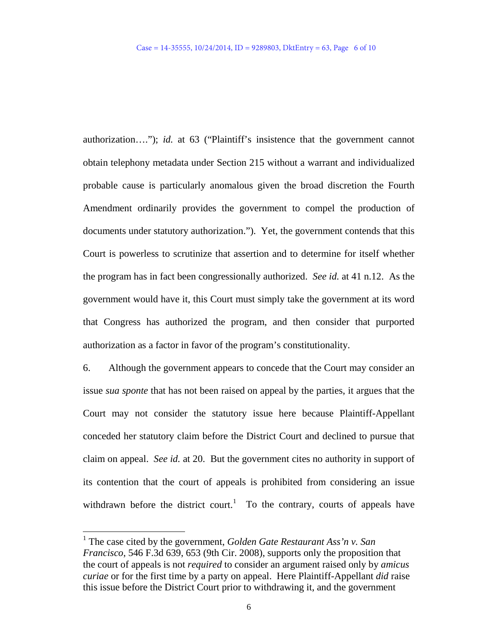authorization…."); *id.* at 63 ("Plaintiff's insistence that the government cannot obtain telephony metadata under Section 215 without a warrant and individualized probable cause is particularly anomalous given the broad discretion the Fourth Amendment ordinarily provides the government to compel the production of documents under statutory authorization."). Yet, the government contends that this Court is powerless to scrutinize that assertion and to determine for itself whether the program has in fact been congressionally authorized. *See id.* at 41 n.12. As the government would have it, this Court must simply take the government at its word that Congress has authorized the program, and then consider that purported authorization as a factor in favor of the program's constitutionality.

6. Although the government appears to concede that the Court may consider an issue *sua sponte* that has not been raised on appeal by the parties, it argues that the Court may not consider the statutory issue here because Plaintiff-Appellant conceded her statutory claim before the District Court and declined to pursue that claim on appeal. *See id.* at 20. But the government cites no authority in support of its contention that the court of appeals is prohibited from considering an issue withdrawn before the district court.<sup>[1](#page-5-0)</sup> To the contrary, courts of appeals have

<span id="page-5-0"></span> $\ddot{ }$ 

<sup>1</sup> The case cited by the government, *Golden Gate Restaurant Ass'n v. San Francisco*, 546 F.3d 639, 653 (9th Cir. 2008), supports only the proposition that the court of appeals is not *required* to consider an argument raised only by *amicus curiae* or for the first time by a party on appeal. Here Plaintiff-Appellant *did* raise this issue before the District Court prior to withdrawing it, and the government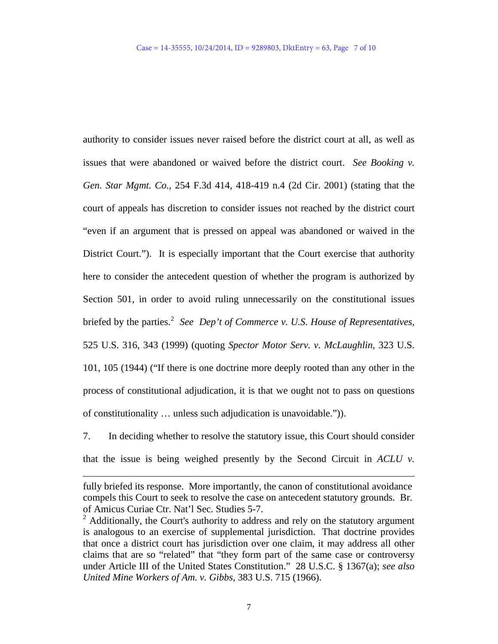authority to consider issues never raised before the district court at all, as well as issues that were abandoned or waived before the district court. *See Booking v. Gen. Star Mgmt. Co.*, 254 F.3d 414, 418-419 n.4 (2d Cir. 2001) (stating that the court of appeals has discretion to consider issues not reached by the district court "even if an argument that is pressed on appeal was abandoned or waived in the District Court."). It is especially important that the Court exercise that authority here to consider the antecedent question of whether the program is authorized by Section 501, in order to avoid ruling unnecessarily on the constitutional issues briefed by the parties.<sup>[2](#page-6-0)</sup> See Dep't of Commerce v. U.S. House of Representatives, 525 U.S. 316, 343 (1999) (quoting *Spector Motor Serv. v. McLaughlin*, 323 U.S. 101, 105 (1944) ("If there is one doctrine more deeply rooted than any other in the process of constitutional adjudication, it is that we ought not to pass on questions of constitutionality … unless such adjudication is unavoidable.")).

7. In deciding whether to resolve the statutory issue, this Court should consider that the issue is being weighed presently by the Second Circuit in *ACLU v.* 

 $\overline{a}$ 

fully briefed its response. More importantly, the canon of constitutional avoidance compels this Court to seek to resolve the case on antecedent statutory grounds. Br. of Amicus Curiae Ctr. Nat'l Sec. Studies 5-7.

<span id="page-6-0"></span><sup>&</sup>lt;sup>2</sup> Additionally, the Court's authority to address and rely on the statutory argument is analogous to an exercise of supplemental jurisdiction. That doctrine provides that once a district court has jurisdiction over one claim, it may address all other claims that are so "related" that "they form part of the same case or controversy under Article III of the United States Constitution." 28 U.S.C. § 1367(a); *see also United Mine Workers of Am. v. Gibbs*, 383 U.S. 715 (1966).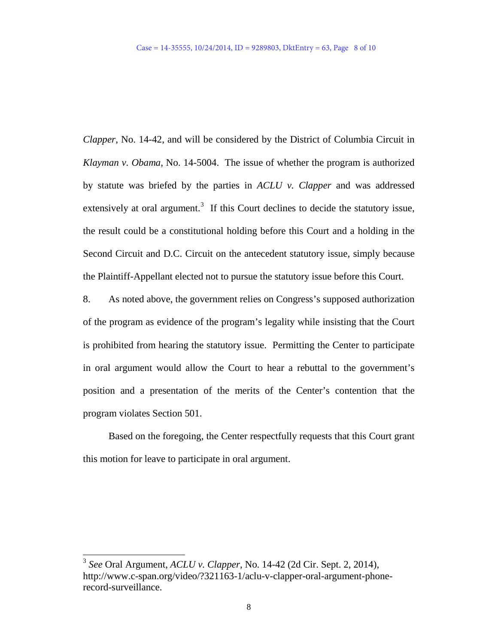*Clapper*, No. 14-42, and will be considered by the District of Columbia Circuit in *Klayman v. Obama*, No. 14-5004. The issue of whether the program is authorized by statute was briefed by the parties in *ACLU v. Clapper* and was addressed extensively at oral argument.<sup>[3](#page-7-0)</sup> If this Court declines to decide the statutory issue, the result could be a constitutional holding before this Court and a holding in the Second Circuit and D.C. Circuit on the antecedent statutory issue, simply because the Plaintiff-Appellant elected not to pursue the statutory issue before this Court.

8. As noted above, the government relies on Congress's supposed authorization of the program as evidence of the program's legality while insisting that the Court is prohibited from hearing the statutory issue. Permitting the Center to participate in oral argument would allow the Court to hear a rebuttal to the government's position and a presentation of the merits of the Center's contention that the program violates Section 501.

Based on the foregoing, the Center respectfully requests that this Court grant this motion for leave to participate in oral argument.

<span id="page-7-0"></span> $\ddot{ }$ 

<sup>3</sup> *See* Oral Argument, *ACLU v. Clapper*, No. 14-42 (2d Cir. Sept. 2, 2014), http://www.c-span.org/video/?321163-1/aclu-v-clapper-oral-argument-phonerecord-surveillance.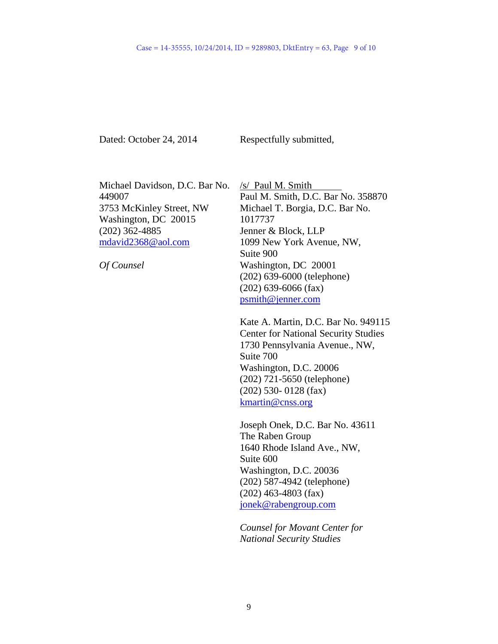Dated: October 24, 2014

Respectfully submitted,

Michael Davidson, D.C. Bar No. 449007 3753 McKinley Street, NW Washington, DC 20015 (202) 362-4885 [mdavid2368@aol.com](mailto:mdavid2368@aol.com)

*Of Counsel*

/s/ Paul M. Smith Paul M. Smith, D.C. Bar No. 358870 Michael T. Borgia, D.C. Bar No. 1017737 Jenner & Block, LLP 1099 New York Avenue, NW, Suite 900 Washington, DC 20001 (202) 639-6000 (telephone) (202) 639-6066 (fax) [psmith@jenner.com](mailto:psmith@jenner.com)

Kate A. Martin, D.C. Bar No. 949115 Center for National Security Studies 1730 Pennsylvania Avenue., NW, Suite 700 Washington, D.C. 20006 (202) 721-5650 (telephone) (202) 530- 0128 (fax) [kmartin@cnss.org](mailto:kmartin@cnss.org)

Joseph Onek, D.C. Bar No. 43611 The Raben Group 1640 Rhode Island Ave., NW, Suite 600 Washington, D.C. 20036 (202) 587-4942 (telephone) (202) 463-4803 (fax) [jonek@rabengroup.com](mailto:jonek@rabengroup.com)

*Counsel for Movant Center for National Security Studies*